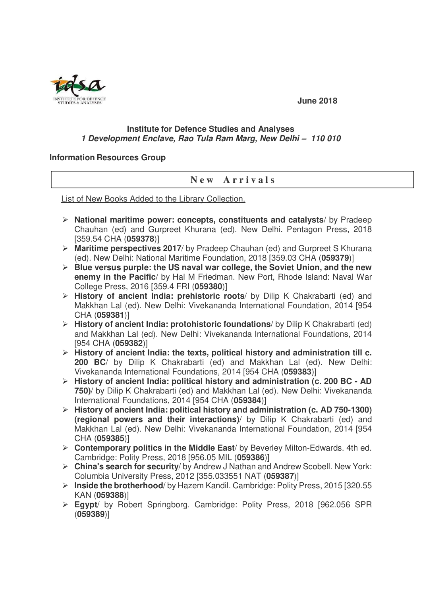

## **June 2018**

## **Institute for Defence Studies and Analyses 1 Development Enclave, Rao Tula Ram Marg, New Delhi – 110 010**

## **Information Resources Group**

## **N e w A r r i v a l s**

List of New Books Added to the Library Collection.

- **National maritime power: concepts, constituents and catalysts**/ by Pradeep Chauhan (ed) and Gurpreet Khurana (ed). New Delhi. Pentagon Press, 2018 [359.54 CHA (**059378**)]
- **Maritime perspectives 2017**/ by Pradeep Chauhan (ed) and Gurpreet S Khurana (ed). New Delhi: National Maritime Foundation, 2018 [359.03 CHA (**059379**)]
- **Blue versus purple: the US naval war college, the Soviet Union, and the new enemy in the Pacific**/ by Hal M Friedman. New Port, Rhode Island: Naval War College Press, 2016 [359.4 FRI (**059380**)]
- **History of ancient India: prehistoric roots**/ by Dilip K Chakrabarti (ed) and Makkhan Lal (ed). New Delhi: Vivekananda International Foundation, 2014 [954 CHA (**059381**)]
- **History of ancient India: protohistoric foundations**/ by Dilip K Chakrabarti (ed) and Makkhan Lal (ed). New Delhi: Vivekananda International Foundations, 2014 [954 CHA (**059382**)]
- **History of ancient India: the texts, political history and administration till c. 200 BC**/ by Dilip K Chakrabarti (ed) and Makkhan Lal (ed). New Delhi: Vivekananda International Foundations, 2014 [954 CHA (**059383**)]
- **History of ancient India: political history and administration (c. 200 BC AD 750)**/ by Dilip K Chakrabarti (ed) and Makkhan Lal (ed). New Delhi: Vivekananda International Foundations, 2014 [954 CHA (**059384**)]
- **History of ancient India: political history and administration (c. AD 750-1300) (regional powers and their interactions)**/ by Dilip K Chakrabarti (ed) and Makkhan Lal (ed). New Delhi: Vivekananda International Foundation, 2014 [954 CHA (**059385**)]
- **Contemporary politics in the Middle East**/ by Beverley Milton-Edwards. 4th ed. Cambridge: Polity Press, 2018 [956.05 MIL (**059386**)]
- **China's search for security**/ by Andrew J Nathan and Andrew Scobell. New York: Columbia University Press, 2012 [355.033551 NAT (**059387**)]
- **Inside the brotherhood**/ by Hazem Kandil. Cambridge: Polity Press, 2015 [320.55 KAN (**059388**)]
- **Egypt**/ by Robert Springborg. Cambridge: Polity Press, 2018 [962.056 SPR (**059389**)]